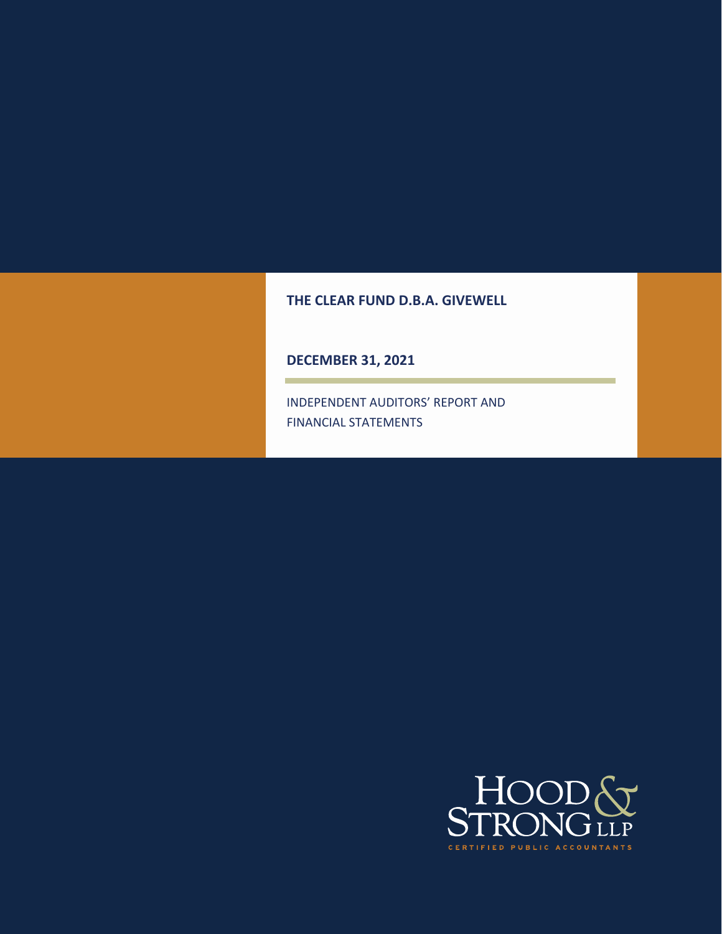## **THE CLEAR FUND D.B.A. GIVEWELL**

**DECEMBER 31, 2021**

INDEPENDENT AUDITORS' REPORT AND FINANCIAL STATEMENTS

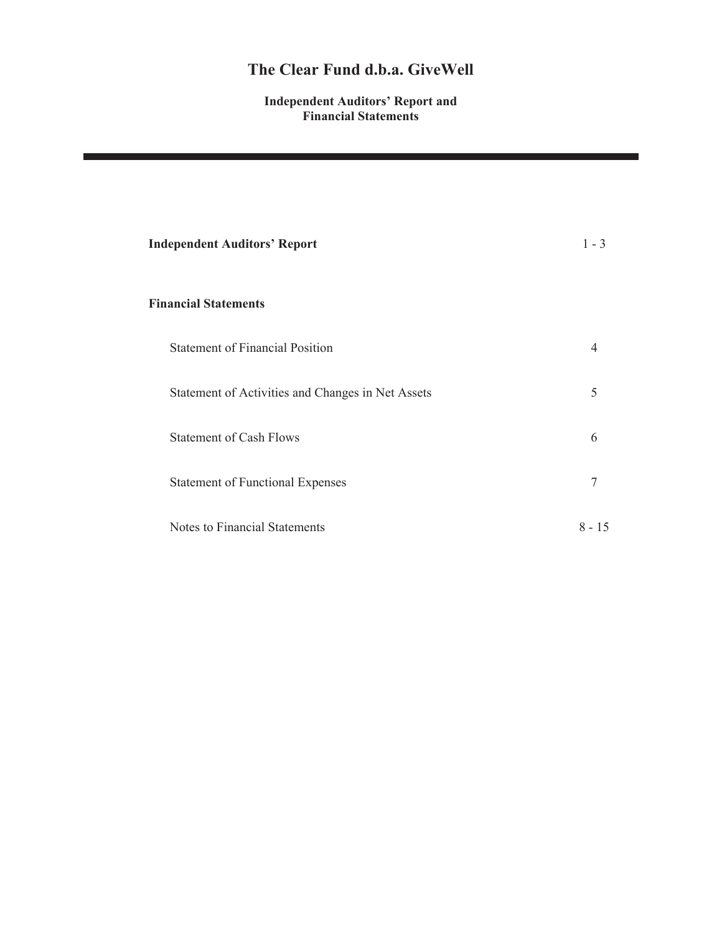## **Independent Auditors' Report and Financial Statements**

| <b>Independent Auditors' Report</b>               | $1 - 3$        |
|---------------------------------------------------|----------------|
| <b>Financial Statements</b>                       |                |
| <b>Statement of Financial Position</b>            | $\overline{4}$ |
| Statement of Activities and Changes in Net Assets | 5              |
| <b>Statement of Cash Flows</b>                    | 6              |
| <b>Statement of Functional Expenses</b>           | 7              |
| Notes to Financial Statements                     | $8 - 15$       |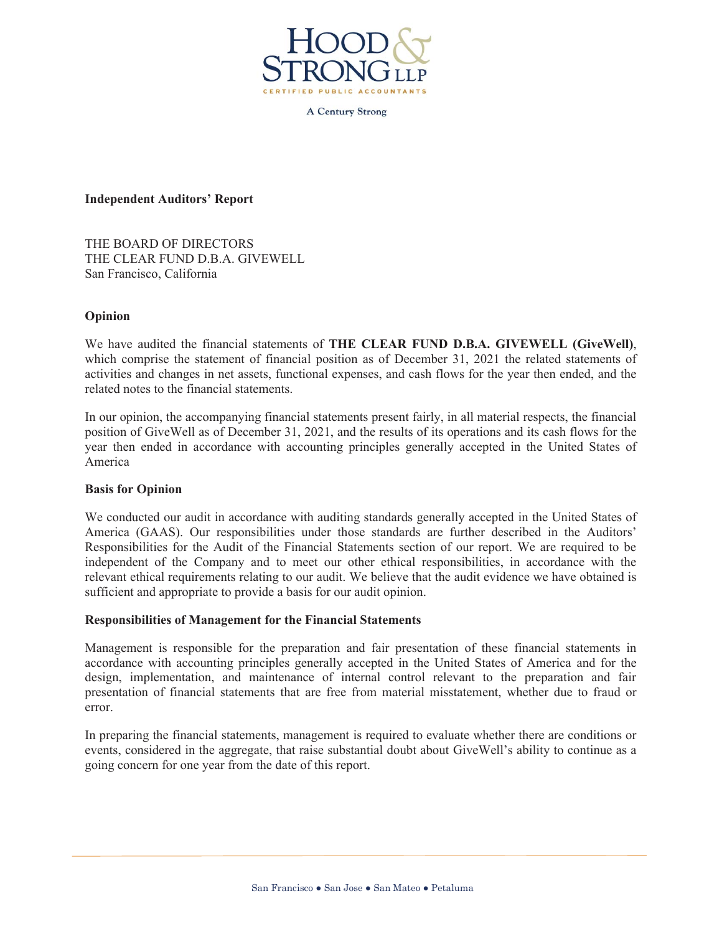

**A Century Strong** 

**Independent Auditors' Report**

THE BOARD OF DIRECTORS THE CLEAR FUND D.B.A. GIVEWELL San Francisco, California

#### **Opinion**

We have audited the financial statements of **THE CLEAR FUND D.B.A. GIVEWELL (GiveWell)**, which comprise the statement of financial position as of December 31, 2021 the related statements of activities and changes in net assets, functional expenses, and cash flows for the year then ended, and the related notes to the financial statements.

In our opinion, the accompanying financial statements present fairly, in all material respects, the financial position of GiveWell as of December 31, 2021, and the results of its operations and its cash flows for the year then ended in accordance with accounting principles generally accepted in the United States of America

#### **Basis for Opinion**

We conducted our audit in accordance with auditing standards generally accepted in the United States of America (GAAS). Our responsibilities under those standards are further described in the Auditors' Responsibilities for the Audit of the Financial Statements section of our report. We are required to be independent of the Company and to meet our other ethical responsibilities, in accordance with the relevant ethical requirements relating to our audit. We believe that the audit evidence we have obtained is sufficient and appropriate to provide a basis for our audit opinion.

#### **Responsibilities of Management for the Financial Statements**

Management is responsible for the preparation and fair presentation of these financial statements in accordance with accounting principles generally accepted in the United States of America and for the design, implementation, and maintenance of internal control relevant to the preparation and fair presentation of financial statements that are free from material misstatement, whether due to fraud or error.

In preparing the financial statements, management is required to evaluate whether there are conditions or events, considered in the aggregate, that raise substantial doubt about GiveWell's ability to continue as a going concern for one year from the date of this report.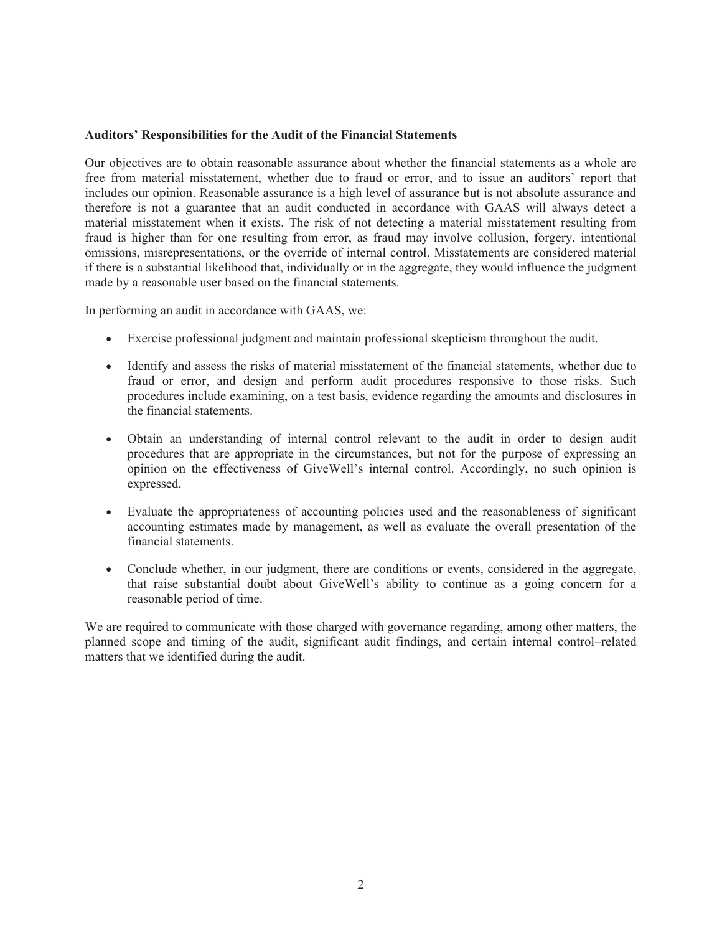#### **Auditors' Responsibilities for the Audit of the Financial Statements**

Our objectives are to obtain reasonable assurance about whether the financial statements as a whole are free from material misstatement, whether due to fraud or error, and to issue an auditors' report that includes our opinion. Reasonable assurance is a high level of assurance but is not absolute assurance and therefore is not a guarantee that an audit conducted in accordance with GAAS will always detect a material misstatement when it exists. The risk of not detecting a material misstatement resulting from fraud is higher than for one resulting from error, as fraud may involve collusion, forgery, intentional omissions, misrepresentations, or the override of internal control. Misstatements are considered material if there is a substantial likelihood that, individually or in the aggregate, they would influence the judgment made by a reasonable user based on the financial statements.

In performing an audit in accordance with GAAS, we:

- Exercise professional judgment and maintain professional skepticism throughout the audit.
- Identify and assess the risks of material misstatement of the financial statements, whether due to fraud or error, and design and perform audit procedures responsive to those risks. Such procedures include examining, on a test basis, evidence regarding the amounts and disclosures in the financial statements.
- x Obtain an understanding of internal control relevant to the audit in order to design audit procedures that are appropriate in the circumstances, but not for the purpose of expressing an opinion on the effectiveness of GiveWell's internal control. Accordingly, no such opinion is expressed.
- Evaluate the appropriateness of accounting policies used and the reasonableness of significant accounting estimates made by management, as well as evaluate the overall presentation of the financial statements.
- Conclude whether, in our judgment, there are conditions or events, considered in the aggregate, that raise substantial doubt about GiveWell's ability to continue as a going concern for a reasonable period of time.

We are required to communicate with those charged with governance regarding, among other matters, the planned scope and timing of the audit, significant audit findings, and certain internal control–related matters that we identified during the audit.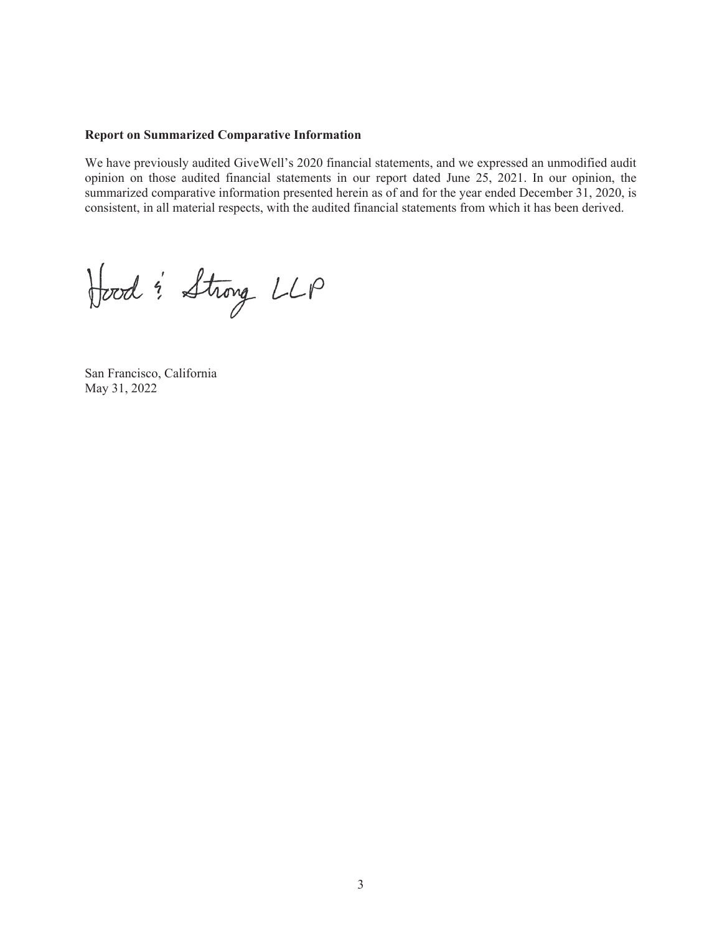### **Report on Summarized Comparative Information**

We have previously audited GiveWell's 2020 financial statements, and we expressed an unmodified audit opinion on those audited financial statements in our report dated June 25, 2021. In our opinion, the summarized comparative information presented herein as of and for the year ended December 31, 2020, is consistent, in all material respects, with the audited financial statements from which it has been derived.

Hood & Strong LLP

San Francisco, California May 31, 2022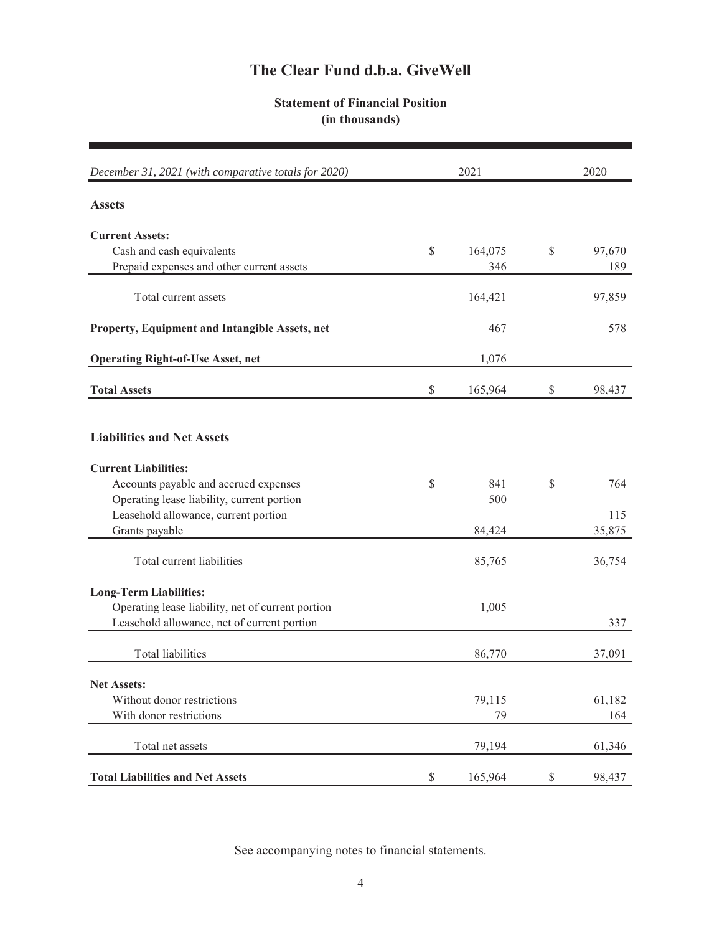## **Statement of Financial Position (in thousands)**

| December 31, 2021 (with comparative totals for 2020)             | 2021          |      | 2020   |
|------------------------------------------------------------------|---------------|------|--------|
| <b>Assets</b>                                                    |               |      |        |
| <b>Current Assets:</b>                                           |               |      |        |
| Cash and cash equivalents                                        | \$<br>164,075 | \$   | 97,670 |
| Prepaid expenses and other current assets                        | 346           |      | 189    |
| Total current assets                                             | 164,421       |      | 97,859 |
| Property, Equipment and Intangible Assets, net                   | 467           |      | 578    |
| <b>Operating Right-of-Use Asset, net</b>                         | 1,076         |      |        |
| <b>Total Assets</b>                                              | \$<br>165,964 | \$   | 98,437 |
| <b>Liabilities and Net Assets</b><br><b>Current Liabilities:</b> |               |      |        |
| Accounts payable and accrued expenses                            | \$<br>841     | \$   | 764    |
| Operating lease liability, current portion                       | 500           |      |        |
| Leasehold allowance, current portion                             |               |      | 115    |
| Grants payable                                                   | 84,424        |      | 35,875 |
| Total current liabilities                                        | 85,765        |      | 36,754 |
| <b>Long-Term Liabilities:</b>                                    |               |      |        |
| Operating lease liability, net of current portion                | 1,005         |      |        |
| Leasehold allowance, net of current portion                      |               |      | 337    |
| <b>Total liabilities</b>                                         | 86,770        |      | 37,091 |
| <b>Net Assets:</b>                                               |               |      |        |
| Without donor restrictions                                       | 79,115        |      | 61,182 |
| With donor restrictions                                          | 79            |      | 164    |
| Total net assets                                                 | 79,194        |      | 61,346 |
| <b>Total Liabilities and Net Assets</b>                          | \$<br>165,964 | $\$$ | 98,437 |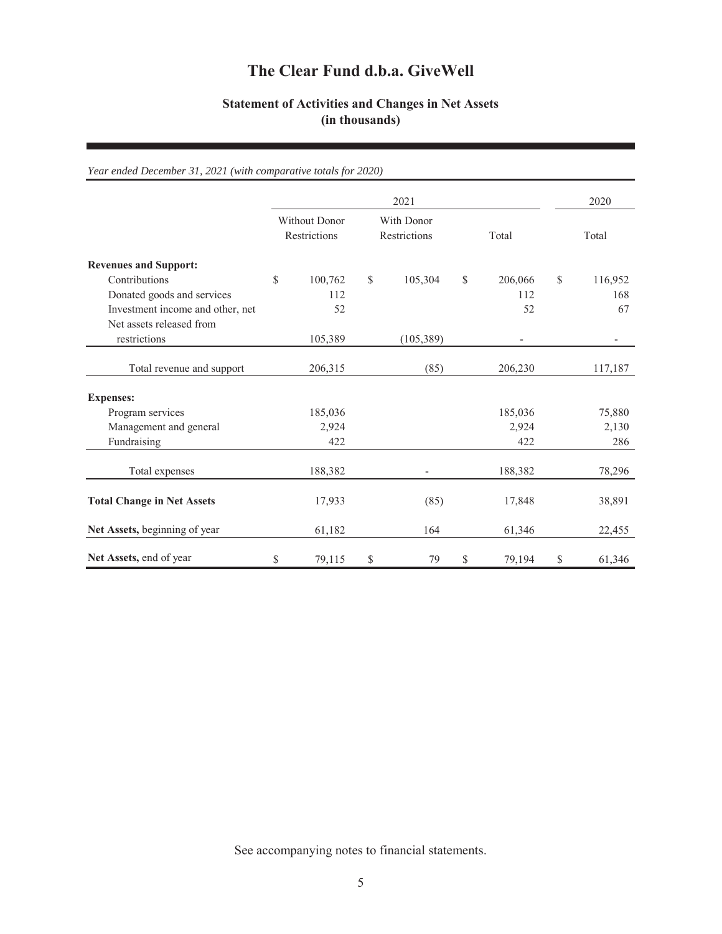## **Statement of Activities and Changes in Net Assets (in thousands)**

*Year ended December 31, 2021 (with comparative totals for 2020)*

|                                   |              |                                      |               | 2021                              |              |                          | 2020           |
|-----------------------------------|--------------|--------------------------------------|---------------|-----------------------------------|--------------|--------------------------|----------------|
|                                   |              | <b>Without Donor</b><br>Restrictions |               | With Donor<br><b>Restrictions</b> | Total        |                          | Total          |
| <b>Revenues and Support:</b>      |              |                                      |               |                                   |              |                          |                |
| Contributions                     | $\mathbb{S}$ | 100,762                              | $\mathcal{S}$ | 105,304                           | $\mathbb{S}$ | 206,066                  | \$<br>116,952  |
| Donated goods and services        |              | 112                                  |               |                                   |              | 112                      | 168            |
| Investment income and other, net  |              | 52                                   |               |                                   |              | 52                       | 67             |
| Net assets released from          |              |                                      |               |                                   |              |                          |                |
| restrictions                      |              | 105,389                              |               | (105, 389)                        |              | $\overline{\phantom{a}}$ | $\overline{a}$ |
|                                   |              |                                      |               |                                   |              |                          |                |
| Total revenue and support         |              | 206,315                              |               | (85)                              |              | 206,230                  | 117,187        |
| <b>Expenses:</b>                  |              |                                      |               |                                   |              |                          |                |
| Program services                  |              | 185,036                              |               |                                   |              | 185,036                  | 75,880         |
| Management and general            |              | 2,924                                |               |                                   |              | 2,924                    | 2,130          |
| Fundraising                       |              | 422                                  |               |                                   |              | 422                      | 286            |
| Total expenses                    |              | 188,382                              |               |                                   |              | 188,382                  | 78,296         |
| <b>Total Change in Net Assets</b> |              | 17,933                               |               | (85)                              |              | 17,848                   | 38,891         |
| Net Assets, beginning of year     |              | 61,182                               |               | 164                               |              | 61,346                   | 22,455         |
| Net Assets, end of year           | \$           | 79,115                               | \$            | 79                                | \$           | 79,194                   | \$<br>61,346   |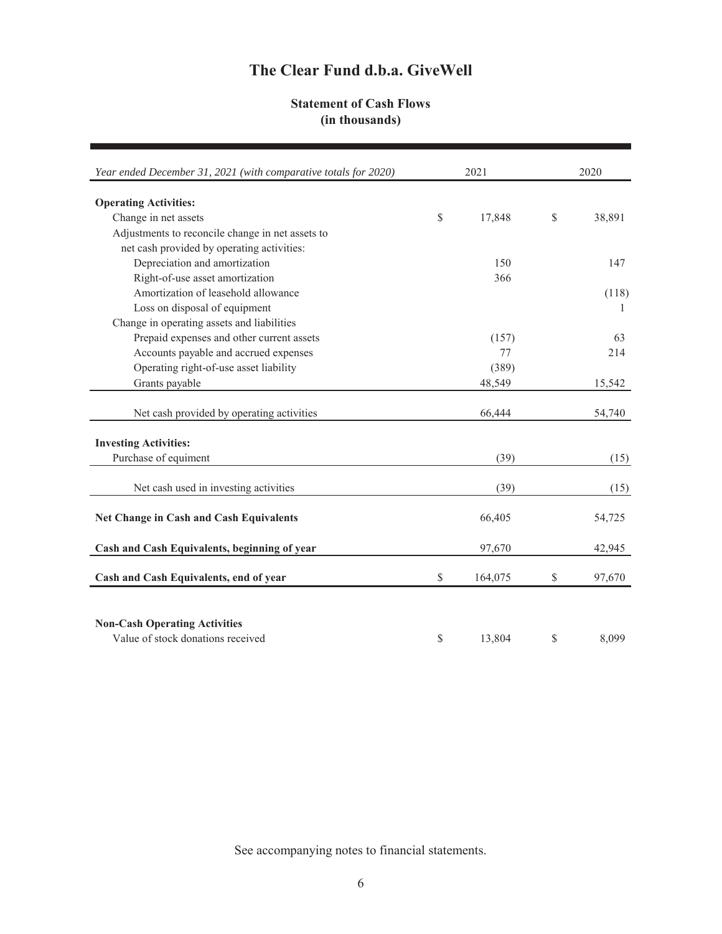## **Statement of Cash Flows (in thousands)**

| Year ended December 31, 2021 (with comparative totals for 2020) | 2021          |    | 2020   |
|-----------------------------------------------------------------|---------------|----|--------|
| <b>Operating Activities:</b>                                    |               |    |        |
| Change in net assets                                            | \$<br>17,848  | \$ | 38,891 |
| Adjustments to reconcile change in net assets to                |               |    |        |
| net cash provided by operating activities:                      |               |    |        |
| Depreciation and amortization                                   | 150           |    | 147    |
| Right-of-use asset amortization                                 | 366           |    |        |
| Amortization of leasehold allowance                             |               |    | (118)  |
| Loss on disposal of equipment                                   |               |    | 1      |
| Change in operating assets and liabilities                      |               |    |        |
| Prepaid expenses and other current assets                       | (157)         |    | 63     |
| Accounts payable and accrued expenses                           | 77            |    | 214    |
| Operating right-of-use asset liability                          | (389)         |    |        |
| Grants payable                                                  | 48,549        |    | 15,542 |
|                                                                 |               |    |        |
| Net cash provided by operating activities                       | 66,444        |    | 54,740 |
| <b>Investing Activities:</b>                                    |               |    |        |
| Purchase of equiment                                            | (39)          |    | (15)   |
|                                                                 |               |    |        |
| Net cash used in investing activities                           | (39)          |    | (15)   |
|                                                                 |               |    |        |
| <b>Net Change in Cash and Cash Equivalents</b>                  | 66,405        |    | 54,725 |
| Cash and Cash Equivalents, beginning of year                    | 97,670        |    | 42,945 |
| Cash and Cash Equivalents, end of year                          | \$<br>164,075 | \$ | 97,670 |
|                                                                 |               |    |        |
|                                                                 |               |    |        |
| <b>Non-Cash Operating Activities</b>                            |               |    |        |
| Value of stock donations received                               | \$<br>13,804  | \$ | 8,099  |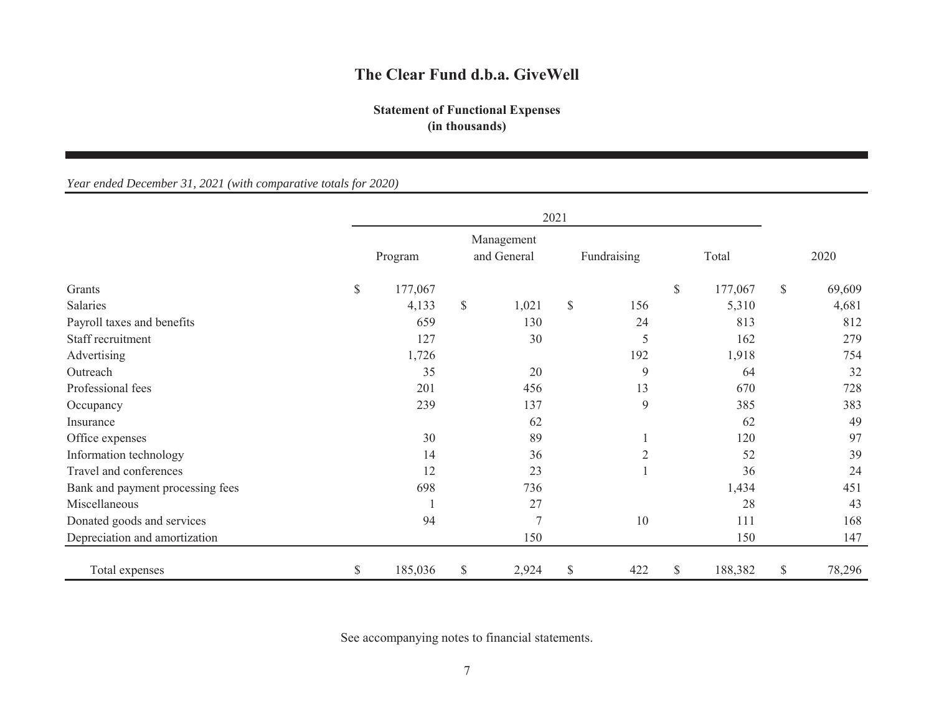## **Statement of Functional Expenses (in thousands)**

## *Year ended December 31, 2021 (with comparative totals for 2020)*

|                                  |               |              |                           | 2021         |                |               |         |               |        |
|----------------------------------|---------------|--------------|---------------------------|--------------|----------------|---------------|---------|---------------|--------|
|                                  | Program       |              | Management<br>and General |              | Fundraising    |               | Total   |               | 2020   |
| Grants                           | \$<br>177,067 |              |                           |              |                | $\mathcal{S}$ | 177,067 | $\mathcal{S}$ | 69,609 |
| Salaries                         | 4,133         | $\mathbb{S}$ | 1,021                     | $\mathbb{S}$ | 156            |               | 5,310   |               | 4,681  |
| Payroll taxes and benefits       | 659           |              | 130                       |              | 24             |               | 813     |               | 812    |
| Staff recruitment                | 127           |              | 30                        |              | 5              |               | 162     |               | 279    |
| Advertising                      | 1,726         |              |                           |              | 192            |               | 1,918   |               | 754    |
| Outreach                         | 35            |              | 20                        |              | 9              |               | 64      |               | 32     |
| Professional fees                | 201           |              | 456                       |              | 13             |               | 670     |               | 728    |
| Occupancy                        | 239           |              | 137                       |              | 9              |               | 385     |               | 383    |
| Insurance                        |               |              | 62                        |              |                |               | 62      |               | 49     |
| Office expenses                  | 30            |              | 89                        |              |                |               | 120     |               | 97     |
| Information technology           | 14            |              | 36                        |              | $\mathfrak{2}$ |               | 52      |               | 39     |
| Travel and conferences           | 12            |              | 23                        |              |                |               | 36      |               | 24     |
| Bank and payment processing fees | 698           |              | 736                       |              |                |               | 1,434   |               | 451    |
| Miscellaneous                    |               |              | 27                        |              |                |               | 28      |               | 43     |
| Donated goods and services       | 94            |              | $\tau$                    |              | 10             |               | 111     |               | 168    |
| Depreciation and amortization    |               |              | 150                       |              |                |               | 150     |               | 147    |
| Total expenses                   | \$<br>185,036 | \$           | 2,924                     | \$           | 422            | $\mathcal{S}$ | 188,382 | \$            | 78,296 |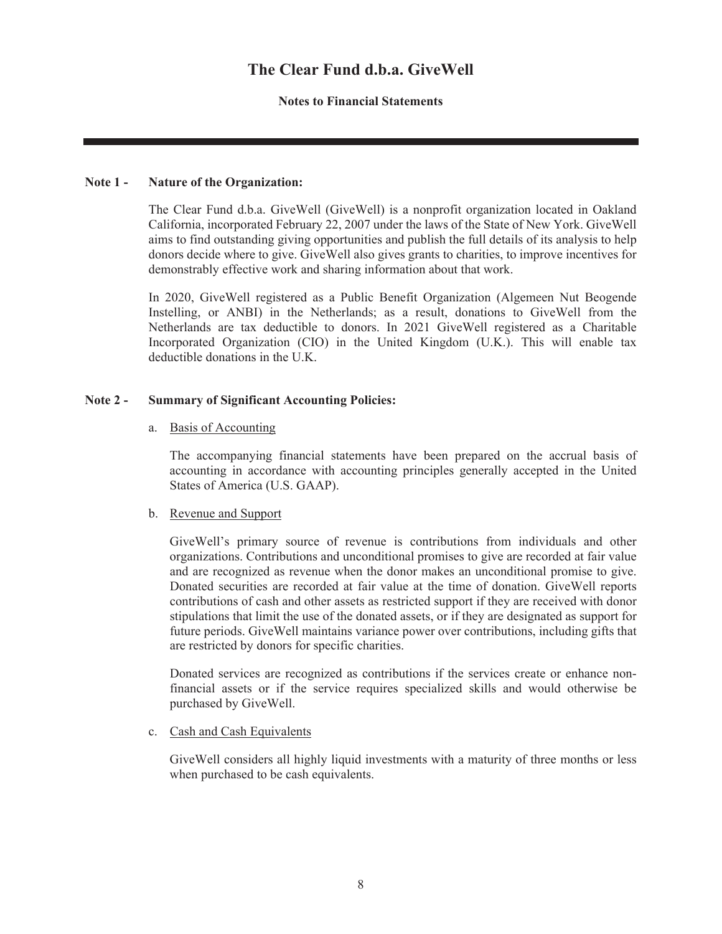## **Notes to Financial Statements**

#### **Note 1 - Nature of the Organization:**

The Clear Fund d.b.a. GiveWell (GiveWell) is a nonprofit organization located in Oakland California, incorporated February 22, 2007 under the laws of the State of New York. GiveWell aims to find outstanding giving opportunities and publish the full details of its analysis to help donors decide where to give. GiveWell also gives grants to charities, to improve incentives for demonstrably effective work and sharing information about that work.

In 2020, GiveWell registered as a Public Benefit Organization (Algemeen Nut Beogende Instelling, or ANBI) in the Netherlands; as a result, donations to GiveWell from the Netherlands are tax deductible to donors. In 2021 GiveWell registered as a Charitable Incorporated Organization (CIO) in the United Kingdom (U.K.). This will enable tax deductible donations in the U.K.

### **Note 2 - Summary of Significant Accounting Policies:**

#### a. Basis of Accounting

The accompanying financial statements have been prepared on the accrual basis of accounting in accordance with accounting principles generally accepted in the United States of America (U.S. GAAP).

#### b. Revenue and Support

GiveWell's primary source of revenue is contributions from individuals and other organizations. Contributions and unconditional promises to give are recorded at fair value and are recognized as revenue when the donor makes an unconditional promise to give. Donated securities are recorded at fair value at the time of donation. GiveWell reports contributions of cash and other assets as restricted support if they are received with donor stipulations that limit the use of the donated assets, or if they are designated as support for future periods. GiveWell maintains variance power over contributions, including gifts that are restricted by donors for specific charities.

Donated services are recognized as contributions if the services create or enhance nonfinancial assets or if the service requires specialized skills and would otherwise be purchased by GiveWell.

## c. Cash and Cash Equivalents

GiveWell considers all highly liquid investments with a maturity of three months or less when purchased to be cash equivalents.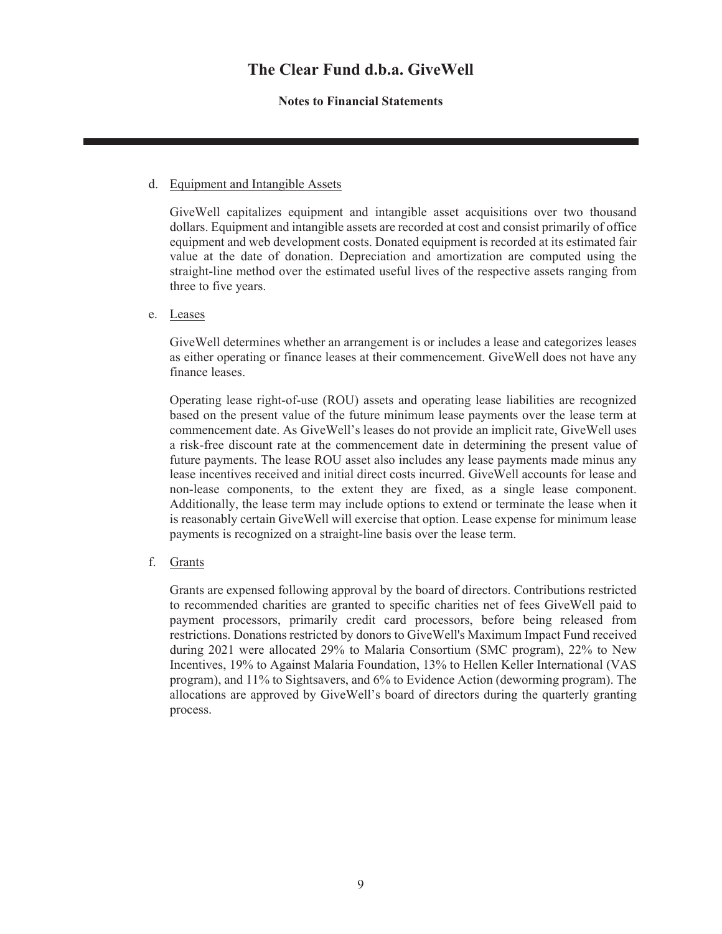### **Notes to Financial Statements**

#### d. Equipment and Intangible Assets

GiveWell capitalizes equipment and intangible asset acquisitions over two thousand dollars. Equipment and intangible assets are recorded at cost and consist primarily of office equipment and web development costs. Donated equipment is recorded at its estimated fair value at the date of donation. Depreciation and amortization are computed using the straight-line method over the estimated useful lives of the respective assets ranging from three to five years.

### e. Leases

GiveWell determines whether an arrangement is or includes a lease and categorizes leases as either operating or finance leases at their commencement. GiveWell does not have any finance leases.

Operating lease right-of-use (ROU) assets and operating lease liabilities are recognized based on the present value of the future minimum lease payments over the lease term at commencement date. As GiveWell's leases do not provide an implicit rate, GiveWell uses a risk-free discount rate at the commencement date in determining the present value of future payments. The lease ROU asset also includes any lease payments made minus any lease incentives received and initial direct costs incurred. GiveWell accounts for lease and non-lease components, to the extent they are fixed, as a single lease component. Additionally, the lease term may include options to extend or terminate the lease when it is reasonably certain GiveWell will exercise that option. Lease expense for minimum lease payments is recognized on a straight-line basis over the lease term.

#### f. Grants

Grants are expensed following approval by the board of directors. Contributions restricted to recommended charities are granted to specific charities net of fees GiveWell paid to payment processors, primarily credit card processors, before being released from restrictions. Donations restricted by donors to GiveWell's Maximum Impact Fund received during 2021 were allocated 29% to Malaria Consortium (SMC program), 22% to New Incentives, 19% to Against Malaria Foundation, 13% to Hellen Keller International (VAS program), and 11% to Sightsavers, and 6% to Evidence Action (deworming program). The allocations are approved by GiveWell's board of directors during the quarterly granting process.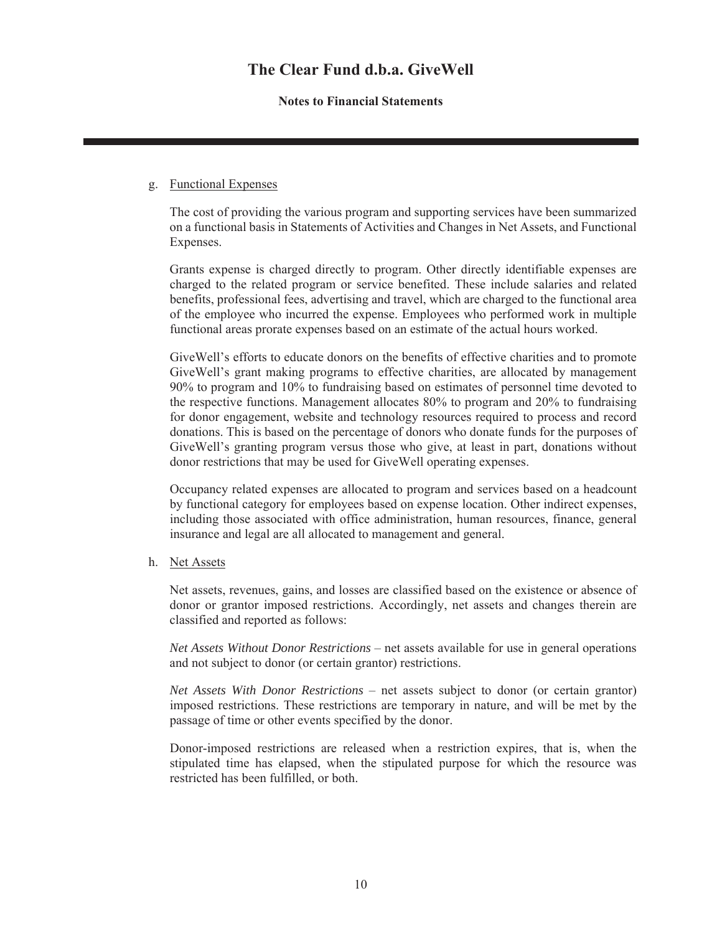## **Notes to Financial Statements**

## g. Functional Expenses

The cost of providing the various program and supporting services have been summarized on a functional basis in Statements of Activities and Changes in Net Assets, and Functional Expenses.

Grants expense is charged directly to program. Other directly identifiable expenses are charged to the related program or service benefited. These include salaries and related benefits, professional fees, advertising and travel, which are charged to the functional area of the employee who incurred the expense. Employees who performed work in multiple functional areas prorate expenses based on an estimate of the actual hours worked.

GiveWell's efforts to educate donors on the benefits of effective charities and to promote GiveWell's grant making programs to effective charities, are allocated by management 90% to program and 10% to fundraising based on estimates of personnel time devoted to the respective functions. Management allocates 80% to program and 20% to fundraising for donor engagement, website and technology resources required to process and record donations. This is based on the percentage of donors who donate funds for the purposes of GiveWell's granting program versus those who give, at least in part, donations without donor restrictions that may be used for GiveWell operating expenses.

Occupancy related expenses are allocated to program and services based on a headcount by functional category for employees based on expense location. Other indirect expenses, including those associated with office administration, human resources, finance, general insurance and legal are all allocated to management and general.

#### h. Net Assets

Net assets, revenues, gains, and losses are classified based on the existence or absence of donor or grantor imposed restrictions. Accordingly, net assets and changes therein are classified and reported as follows:

*Net Assets Without Donor Restrictions* – net assets available for use in general operations and not subject to donor (or certain grantor) restrictions.

*Net Assets With Donor Restrictions* – net assets subject to donor (or certain grantor) imposed restrictions. These restrictions are temporary in nature, and will be met by the passage of time or other events specified by the donor.

Donor-imposed restrictions are released when a restriction expires, that is, when the stipulated time has elapsed, when the stipulated purpose for which the resource was restricted has been fulfilled, or both.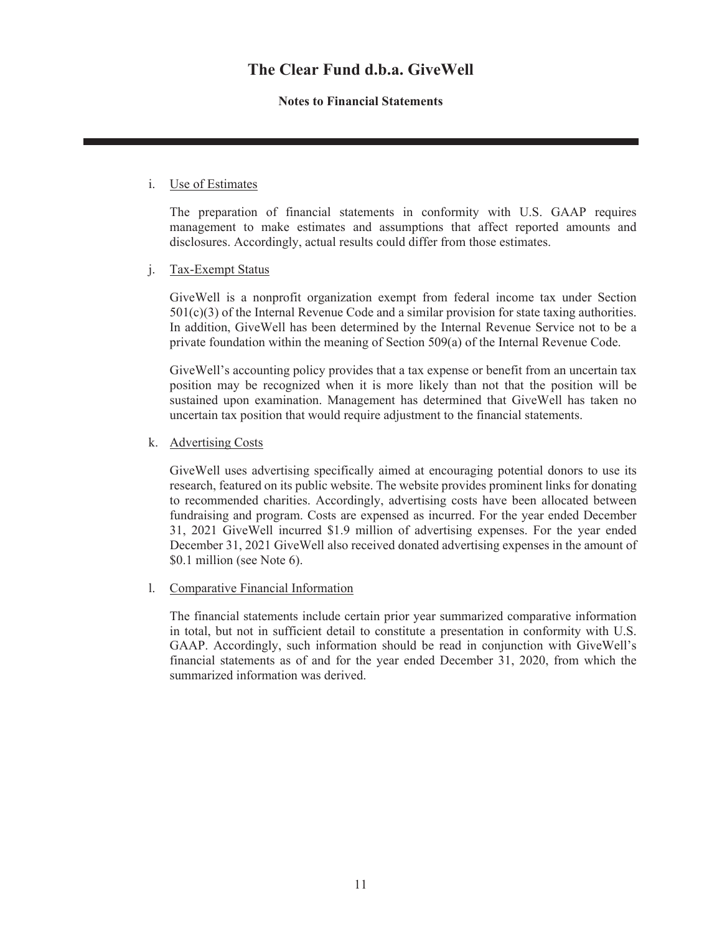## **Notes to Financial Statements**

## i. Use of Estimates

The preparation of financial statements in conformity with U.S. GAAP requires management to make estimates and assumptions that affect reported amounts and disclosures. Accordingly, actual results could differ from those estimates.

### j. Tax-Exempt Status

GiveWell is a nonprofit organization exempt from federal income tax under Section  $501(c)(3)$  of the Internal Revenue Code and a similar provision for state taxing authorities. In addition, GiveWell has been determined by the Internal Revenue Service not to be a private foundation within the meaning of Section 509(a) of the Internal Revenue Code.

GiveWell's accounting policy provides that a tax expense or benefit from an uncertain tax position may be recognized when it is more likely than not that the position will be sustained upon examination. Management has determined that GiveWell has taken no uncertain tax position that would require adjustment to the financial statements.

### k. Advertising Costs

GiveWell uses advertising specifically aimed at encouraging potential donors to use its research, featured on its public website. The website provides prominent links for donating to recommended charities. Accordingly, advertising costs have been allocated between fundraising and program. Costs are expensed as incurred. For the year ended December 31, 2021 GiveWell incurred \$1.9 million of advertising expenses. For the year ended December 31, 2021 GiveWell also received donated advertising expenses in the amount of \$0.1 million (see Note 6).

l. Comparative Financial Information

The financial statements include certain prior year summarized comparative information in total, but not in sufficient detail to constitute a presentation in conformity with U.S. GAAP. Accordingly, such information should be read in conjunction with GiveWell's financial statements as of and for the year ended December 31, 2020, from which the summarized information was derived.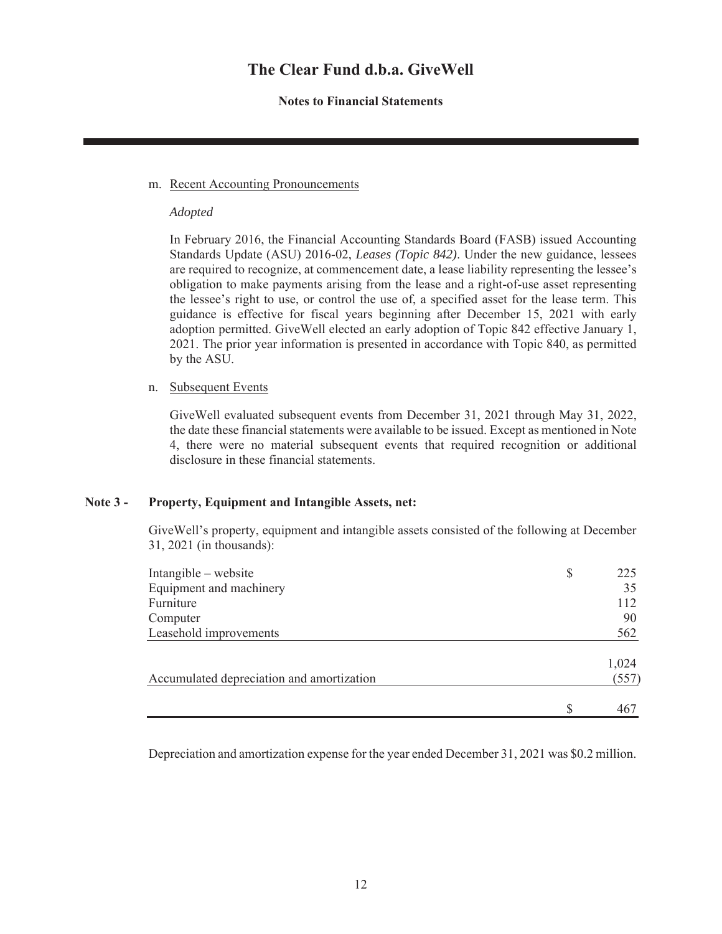## **Notes to Financial Statements**

### m. Recent Accounting Pronouncements

## *Adopted*

In February 2016, the Financial Accounting Standards Board (FASB) issued Accounting Standards Update (ASU) 2016-02, *Leases (Topic 842)*. Under the new guidance, lessees are required to recognize, at commencement date, a lease liability representing the lessee's obligation to make payments arising from the lease and a right-of-use asset representing the lessee's right to use, or control the use of, a specified asset for the lease term. This guidance is effective for fiscal years beginning after December 15, 2021 with early adoption permitted. GiveWell elected an early adoption of Topic 842 effective January 1, 2021. The prior year information is presented in accordance with Topic 840, as permitted by the ASU.

### n. Subsequent Events

GiveWell evaluated subsequent events from December 31, 2021 through May 31, 2022, the date these financial statements were available to be issued. Except as mentioned in Note 4, there were no material subsequent events that required recognition or additional disclosure in these financial statements.

## **Note 3 - Property, Equipment and Intangible Assets, net:**

GiveWell's property, equipment and intangible assets consisted of the following at December 31, 2021 (in thousands):

| Intangible $-$ website                    | \$<br>225 |
|-------------------------------------------|-----------|
| Equipment and machinery                   | 35        |
| Furniture                                 | 112       |
| Computer                                  | 90        |
| Leasehold improvements                    | 562       |
|                                           |           |
|                                           | 1,024     |
| Accumulated depreciation and amortization | (557)     |
|                                           |           |
|                                           | 467       |

Depreciation and amortization expense for the year ended December 31, 2021 was \$0.2 million.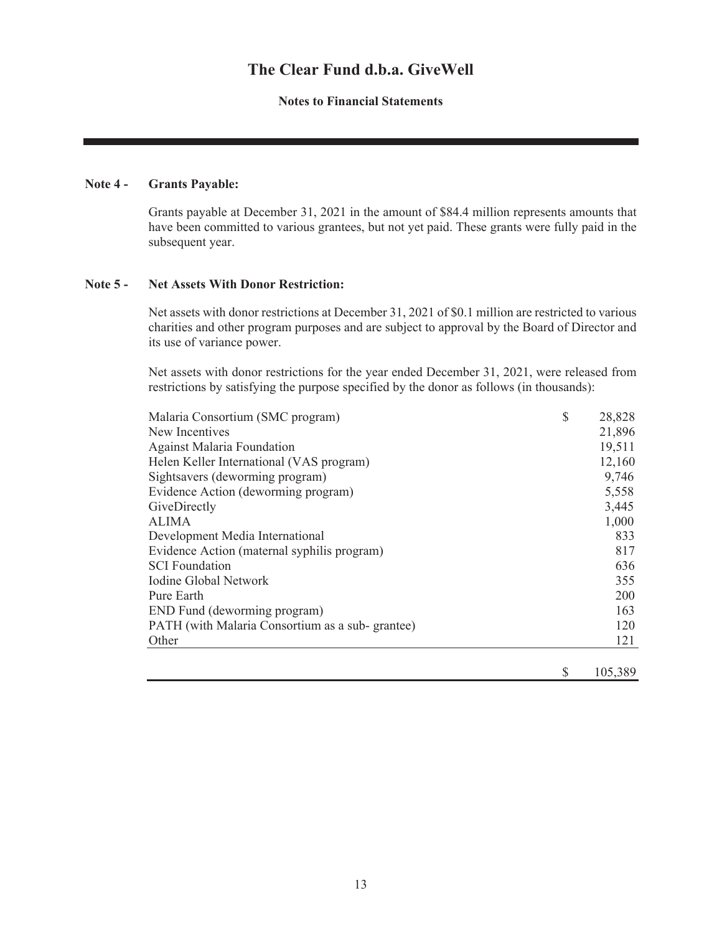### **Notes to Financial Statements**

## **Note 4 - Grants Payable:**

Grants payable at December 31, 2021 in the amount of \$84.4 million represents amounts that have been committed to various grantees, but not yet paid. These grants were fully paid in the subsequent year.

## **Note 5 - Net Assets With Donor Restriction:**

Net assets with donor restrictions at December 31, 2021 of \$0.1 million are restricted to various charities and other program purposes and are subject to approval by the Board of Director and its use of variance power.

Net assets with donor restrictions for the year ended December 31, 2021, were released from restrictions by satisfying the purpose specified by the donor as follows (in thousands):

| Malaria Consortium (SMC program)                | \$<br>28,828 |
|-------------------------------------------------|--------------|
| New Incentives                                  | 21,896       |
| <b>Against Malaria Foundation</b>               | 19,511       |
| Helen Keller International (VAS program)        | 12,160       |
| Sightsavers (deworming program)                 | 9,746        |
| Evidence Action (deworming program)             | 5,558        |
| GiveDirectly                                    | 3,445        |
| <b>ALIMA</b>                                    | 1,000        |
| Development Media International                 | 833          |
| Evidence Action (maternal syphilis program)     | 817          |
| <b>SCI</b> Foundation                           | 636          |
| Iodine Global Network                           | 355          |
| Pure Earth                                      | 200          |
| END Fund (deworming program)                    | 163          |
| PATH (with Malaria Consortium as a sub-grantee) | 120          |
| Other                                           | 121          |
|                                                 |              |

\$ 105,389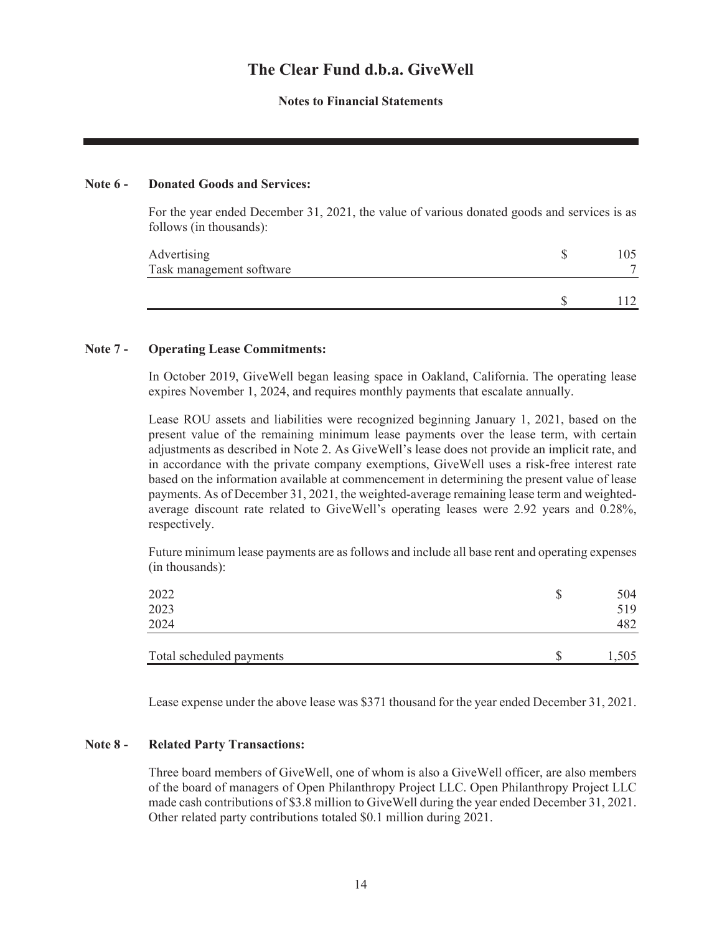**Notes to Financial Statements**

#### **Note 6 - Donated Goods and Services:**

For the year ended December 31, 2021, the value of various donated goods and services is as follows (in thousands):

| Advertising<br>Task management software |  |
|-----------------------------------------|--|
|                                         |  |

### **Note 7 - Operating Lease Commitments:**

In October 2019, GiveWell began leasing space in Oakland, California. The operating lease expires November 1, 2024, and requires monthly payments that escalate annually.

Lease ROU assets and liabilities were recognized beginning January 1, 2021, based on the present value of the remaining minimum lease payments over the lease term, with certain adjustments as described in Note 2. As GiveWell's lease does not provide an implicit rate, and in accordance with the private company exemptions, GiveWell uses a risk-free interest rate based on the information available at commencement in determining the present value of lease payments. As of December 31, 2021, the weighted-average remaining lease term and weightedaverage discount rate related to GiveWell's operating leases were 2.92 years and 0.28%, respectively.

Future minimum lease payments are as follows and include all base rent and operating expenses (in thousands):

| 2023<br>2024             |   | 519<br>482 |
|--------------------------|---|------------|
| Total scheduled payments | J | 1,505      |

Lease expense under the above lease was \$371 thousand for the year ended December 31, 2021.

## **Note 8 - Related Party Transactions:**

Three board members of GiveWell, one of whom is also a GiveWell officer, are also members of the board of managers of Open Philanthropy Project LLC. Open Philanthropy Project LLC made cash contributions of \$3.8 million to GiveWell during the year ended December 31, 2021. Other related party contributions totaled \$0.1 million during 2021.